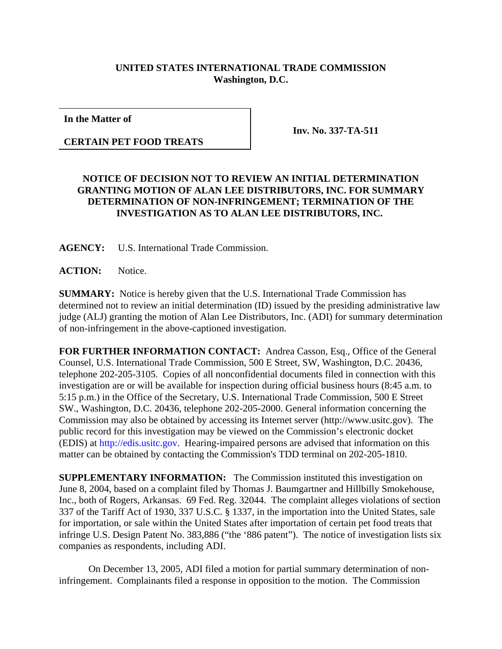## **UNITED STATES INTERNATIONAL TRADE COMMISSION Washington, D.C.**

**In the Matter of**

**CERTAIN PET FOOD TREATS**

**Inv. No. 337-TA-511**

## **NOTICE OF DECISION NOT TO REVIEW AN INITIAL DETERMINATION GRANTING MOTION OF ALAN LEE DISTRIBUTORS, INC. FOR SUMMARY DETERMINATION OF NON-INFRINGEMENT; TERMINATION OF THE INVESTIGATION AS TO ALAN LEE DISTRIBUTORS, INC.**

**AGENCY:** U.S. International Trade Commission.

**ACTION:** Notice.

**SUMMARY:** Notice is hereby given that the U.S. International Trade Commission has determined not to review an initial determination (ID) issued by the presiding administrative law judge (ALJ) granting the motion of Alan Lee Distributors, Inc. (ADI) for summary determination of non-infringement in the above-captioned investigation.

**FOR FURTHER INFORMATION CONTACT:** Andrea Casson, Esq., Office of the General Counsel, U.S. International Trade Commission, 500 E Street, SW, Washington, D.C. 20436, telephone 202-205-3105. Copies of all nonconfidential documents filed in connection with this investigation are or will be available for inspection during official business hours (8:45 a.m. to 5:15 p.m.) in the Office of the Secretary, U.S. International Trade Commission, 500 E Street SW., Washington, D.C. 20436, telephone 202-205-2000. General information concerning the Commission may also be obtained by accessing its Internet server (http://www.usitc.gov). The public record for this investigation may be viewed on the Commission's electronic docket (EDIS) at http://edis.usitc.gov. Hearing-impaired persons are advised that information on this matter can be obtained by contacting the Commission's TDD terminal on 202-205-1810.

**SUPPLEMENTARY INFORMATION:** The Commission instituted this investigation on June 8, 2004, based on a complaint filed by Thomas J. Baumgartner and Hillbilly Smokehouse, Inc., both of Rogers, Arkansas. 69 Fed. Reg. 32044. The complaint alleges violations of section 337 of the Tariff Act of 1930, 337 U.S.C. § 1337, in the importation into the United States, sale for importation, or sale within the United States after importation of certain pet food treats that infringe U.S. Design Patent No. 383,886 ("the '886 patent"). The notice of investigation lists six companies as respondents, including ADI.

On December 13, 2005, ADI filed a motion for partial summary determination of noninfringement. Complainants filed a response in opposition to the motion. The Commission